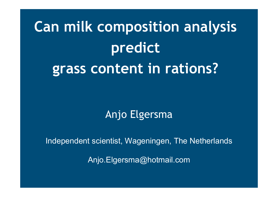# **Can milk composition analysis predict grass content in rations?**

# Anjo Elgersma

Independent scientist, Wageningen, The Netherlands

Anjo.Elgersma@hotmail.com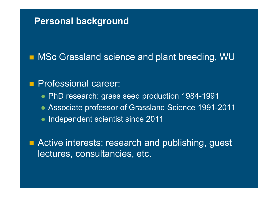### **Personal background**

■ MSc Grassland science and plant breeding, WU

#### T Professional career:

- PhD research: grass seed production 1984-1991
- Associate professor of Grassland Science 1991-2011
- Independent scientist since 2011

T Active interests: research and publishing, guest lectures, consultancies, etc.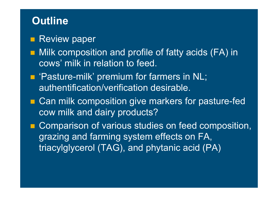### **Outline**

- **Review paper**
- Milk composition and profile of fatty acids (FA) in cows' milk in relation to feed.
- **Pasture-milk' premium for farmers in NL;** authentification/verification desirable.
- Can milk composition give markers for pasture-fed cow milk and dairy products?
- **Comparison of various studies on feed composition,** grazing and farming system effects on FA, triacylglycerol (TAG), and phytanic acid (PA)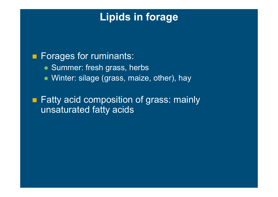# **Lipids in forage**

### **Forages for ruminants:**

- Summer: fresh grass, herbs
- Winter: silage (grass, maize, other), hay

■ Fatty acid composition of grass: mainly unsaturated fatty acids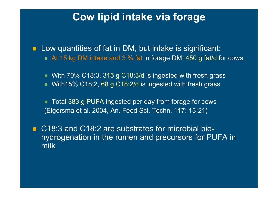### **Cow lipid intake via forage**

**Low quantities of fat in DM, but intake is significant:** At 15 kg DM intake and 3 % fat in forage DM: 450 g fat/d for cows

 With 70% C18:3, 315 g C18:3/d is ingested with fresh grass With15% C18:2, 68 g C18:2/d is ingested with fresh grass

 Total 383 g PUFA ingested per day from forage for cows (Elgersma et al. 2004, An. Feed Sci. Techn. 117: 13-21)

■ C18:3 and C18:2 are substrates for microbial biohydrogenation in the rumen and precursors for PUFA in milk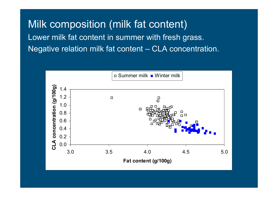Milk composition (milk fat content) Lower milk fat content in summer with fresh grass. Negative relation milk fat content – CLA concentration.

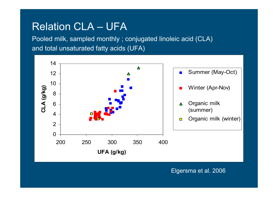### Relation CLA – UFA

Pooled milk, sampled monthly ; conjugated linoleic acid (CLA) and total unsaturated fatty acids (UFA)



Elgersma et al. 2006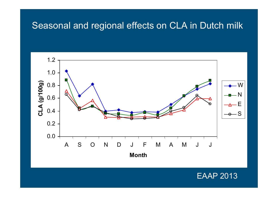### Seasonal and regional effects on CLA in Dutch milk



### EAAP 2013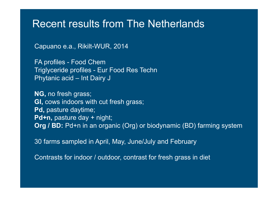### Recent results from The Netherlands

Capuano e.a., Rikilt-WUR, 2014

FA profiles - Food Chem Triglyceride profiles - Eur Food Res Techn Phytanic acid – Int Dairy J

**NG,** no fresh grass; **GI,** cows indoors with cut fresh grass; **Pd,** pasture daytime; **Pd+n,** pasture day + night; **Org / BD:** Pd+n in an organic (Org) or biodynamic (BD) farming system

30 farms sampled in April, May, June/July and February

Contrasts for indoor / outdoor, contrast for fresh grass in diet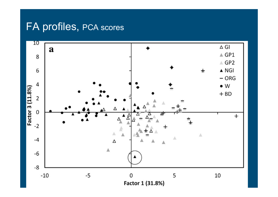# FA profiles, PCA scores

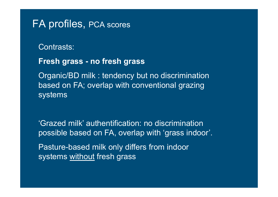### FA profiles, PCA scores

### Contrasts:

### **Fresh grass - no fresh grass**

Organic/BD milk : tendency but no discrimination based on FA; overlap with conventional grazing systems

'Grazed milk' authentification: no discrimination possible based on FA, overlap with 'grass indoor'.

Pasture-based milk only differs from indoor systems without fresh grass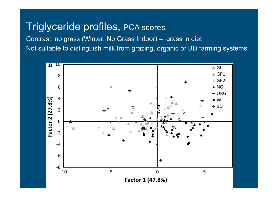### Triglyceride profiles, PCA scores

Contrast: no grass (Winter, No Grass Indoor) – grass in diet Not suitable to distinguish milk from grazing, organic or BD farming systems

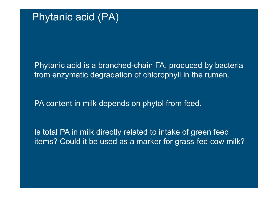Phytanic acid is a branched-chain FA, produced by bacteria from enzymatic degradation of chlorophyll in the rumen.

PA content in milk depends on phytol from feed.

Is total PA in milk directly related to intake of green feed items? Could it be used as a marker for grass-fed cow milk?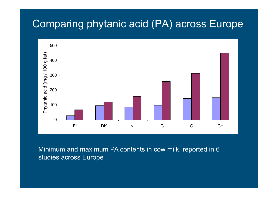### Comparing phytanic acid (PA) across Europe



Minimum and maximum PA contents in cow milk, reported in 6 studies across Europe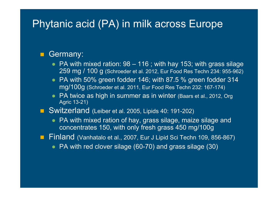### Phytanic acid (PA) in milk across Europe

#### $\blacksquare$ Germany:

- PA with mixed ration: 98 116 ; with hay 153; with grass silage 259 mg / 100 g (Schroeder et al. 2012, Eur Food Res Techn 234: 955-962)
- PA with 50% green fodder 146; with 87.5 % green fodder 314 mg/100g (Schroeder et al. 2011, Eur Food Res Techn 232: 167-174)
- PA twice as high in summer as in winter (Baars et al., 2012, Org Agric 13-21)

### Switzerland (Leiber et al. 2005, Lipids 40: 191-202)

- PA with mixed ration of hay, grass silage, maize silage and concentrates 150, with only fresh grass 450 mg/100g
- **Finland** (Vanhatalo et al., 2007, Eur J Lipid Sci Techn 109, 856-867)
	- PA with red clover silage (60-70) and grass silage (30)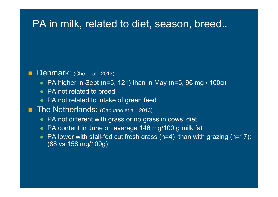### PA in milk, related to diet, season, breed..

#### Г Denmark: (Che et al., 2013)

- PA higher in Sept (n=5, 121) than in May (n=5, 96 mg / 100g)
- PA not related to breed
- PA not related to intake of green feed
- П The Netherlands: (Capuano et al., 2013)
	- PA not different with grass or no grass in cows' diet
	- PA content in June on average 146 mg/100 g milk fat
	- PA lower with stall-fed cut fresh grass (n=4) than with grazing (n=17): (88 vs 158 mg/100g)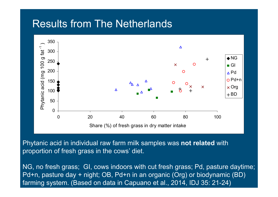### Results from The Netherlands



Phytanic acid in individual raw farm milk samples was **not related** with proportion of fresh grass in the cows' diet.

NG, no fresh grass; GI, cows indoors with cut fresh grass; Pd, pasture daytime; Pd+n, pasture day + night; OB, Pd+n in an organic (Org) or biodynamic (BD) farming system. (Based on data in Capuano et al., 2014, IDJ 35: 21-24)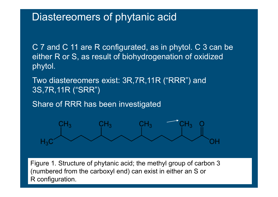### Diastereomers of phytanic acid

C 7 and C 11 are R configurated, as in phytol. C 3 can be either R or S, as result of biohydrogenation of oxidized phytol.

Two diastereomers exist: 3R,7R,11R ("RRR") and 3S,7R,11R ("SRR")

Share of RRR has been investigated



Figure 1. Structure of phytanic acid; the methyl group of carbon 3 (numbered from the carboxyl end) can exist in either an S or R con figuration.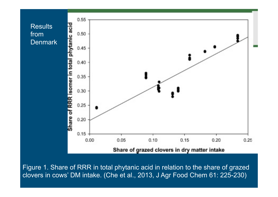



Figure 1. Share of RRR in total phytanic acid in relation to the share of grazed clovers in cows' DM intake. (Che et al., 2013, J Agr Food Chem 61: 225-230)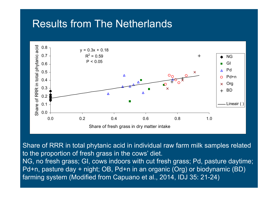### Results from The Netherlands



Share of RRR in total phytanic acid in individual raw farm milk samples related to the proportion of fresh grass in the cows' diet.

NG, no fresh grass; GI, cows indoors with cut fresh grass; Pd, pasture daytime; Pd+n, pasture day + night; OB, Pd+n in an organic (Org) or biodynamic (BD) farming system (Modified from Capuano et al., 2014, IDJ 35: 21-24)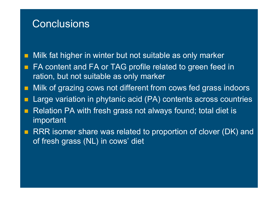### **Conclusions**

Milk fat higher in winter but not suitable as only marker

- FA content and FA or TAG profile related to green feed in ration, but not suitable as only marker
- Г Milk of grazing cows not different from cows fed grass indoors
- Г Large variation in phytanic acid (PA) contents across countries
- Relation PA with fresh grass not always found; total diet is important
- RRR isomer share was related to proportion of clover (DK) and of fresh grass (NL) in cows' diet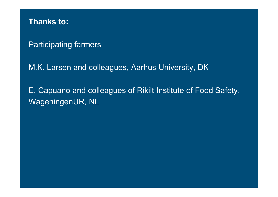**Thanks to:**

Participating farmers

M.K. Larsen and colleagues, Aarhus University, DK

E. Capuano and colleagues of Rikilt Institute of Food Safety, WageningenUR, NL